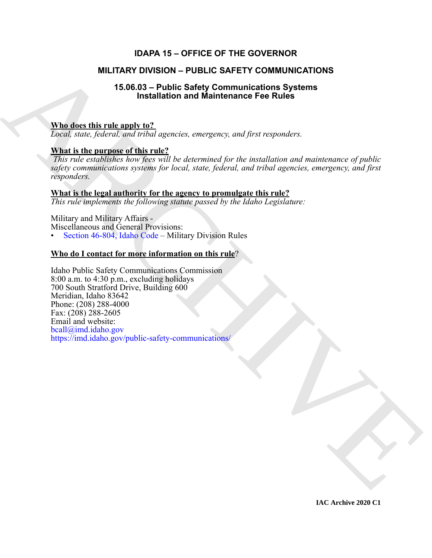## **IDAPA 15 – OFFICE OF THE GOVERNOR**

## **MILITARY DIVISION – PUBLIC SAFETY COMMUNICATIONS**

## **15.06.03 – Public Safety Communications Systems Installation and Maintenance Fee Rules**

## **Who does this rule apply to?**

*Local, state, federal, and tribal agencies, emergency, and first responders.*

## **What is the purpose of this rule?**

*This rule establishes how fees will be determined for the installation and maintenance of public safety communications systems for local, state, federal, and tribal agencies, emergency, and first responders.* 

### **What is the legal authority for the agency to promulgate this rule?**

*This rule implements the following statute passed by the Idaho Legislature:*

Military and Military Affairs - Miscellaneous and General Provisions:

• Section 46-804, Idaho Code – Military Division Rules

## **Who do I contact for more information on this rule**?

**MILITARY DI[V](https://imd.idaho.gov/public-safety-communications/)ISION - PUBLIC SAFETY COMMUNICATIONS**<br>
15.06.03 - Public Safety Communications Systems<br>
Traditions and Maintenances For Rules<br>
Traditional dividends and Maintenances For Rules<br>
Traditions (*Figure 6.6 million* Idaho Public Safety Communications Commission 8:00 a.m. to 4:30 p.m., excluding holidays 700 South Stratford Drive, Building 600 Meridian, Idaho 83642 Phone: (208) 288-4000 Fax: (208) 288-2605 Email and website: bcall@imd.idaho.gov https://imd.idaho.gov/public-safety-communications/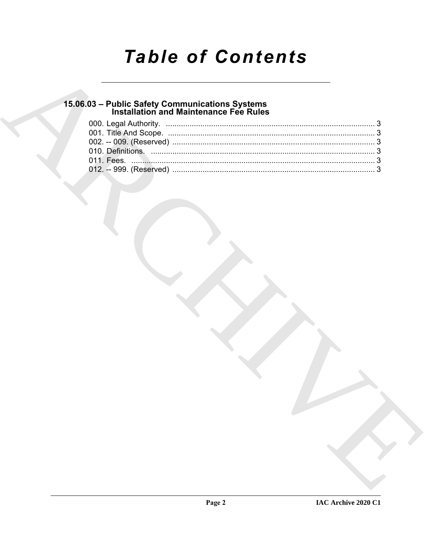# **Table of Contents**

## 15.06.03 - Public Safety Communications Systems<br>Installation and Maintenance Fee Rules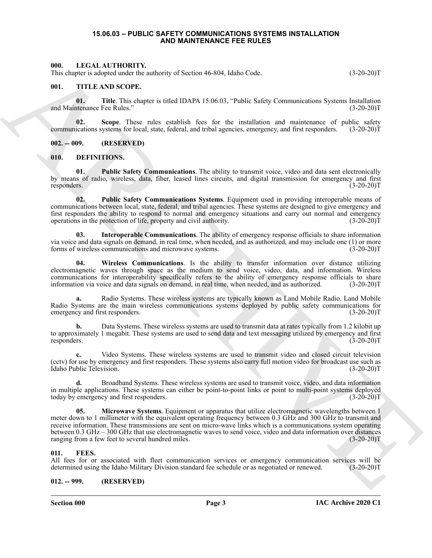#### **15.06.03 – PUBLIC SAFETY COMMUNICATIONS SYSTEMS INSTALLATION AND MAINTENANCE FEE RULES**

#### <span id="page-2-14"></span><span id="page-2-1"></span><span id="page-2-0"></span>**000. LEGAL AUTHORITY.**

This chapter is adopted under the authority of Section 46-804, Idaho Code. (3-20-20)T

#### <span id="page-2-15"></span><span id="page-2-2"></span>**001. TITLE AND SCOPE.**

**01.** Title. This chapter is titled IDAPA 15.06.03, "Public Safety Communications Systems Installation tenance Fee Rules." (3-20-20) and Maintenance Fee Rules."

**02. Scope**. These rules establish fees for the installation and maintenance of public safety communications systems for local, state, federal, and tribal agencies, emergency, and first responders. (3-20-20)T

<span id="page-2-3"></span>**002. -- 009. (RESERVED)**

#### <span id="page-2-7"></span><span id="page-2-4"></span>**010. DEFINITIONS.**

<span id="page-2-10"></span>**01. Public Safety Communications**. The ability to transmit voice, video and data sent electronically by means of radio, wireless, data, fiber, leased lines circuits, and digital transmission for emergency and first responders. (3-20-20)T

<span id="page-2-11"></span>**02. Public Safety Communications Systems**. Equipment used in providing interoperable means of communications between local, state, federal, and tribal agencies. These systems are designed to give emergency and first responders the ability to respond to normal and emergency situations and carry out normal and emergency operations in the protection of life, property and civil authority. (3-20-20) operations in the protection of life, property and civil authority.

<span id="page-2-8"></span>**03. Interoperable Communications**. The ability of emergency response officials to share information via voice and data signals on demand, in real time, when needed, and as authorized, and may include one (1) or more forms of wireless communications and microwave systems. (3-20-20)T

<span id="page-2-12"></span>**04. Wireless Communications**. Is the ability to transfer information over distance utilizing electromagnetic waves through space as the medium to send voice, video, data, and information. Wireless communications for interoperability specifically refers to the ability of emergency response officials to share information via voice and data signals on demand, in real time, when needed, and as authorized. (3-20-20)T

**a.** Radio Systems. These wireless systems are typically known as Land Mobile Radio. Land Mobile Radio Systems are the main wireless communications systems deployed by public safety communications for emergency and first responders. (3-20-20)T

**b.** Data Systems. These wireless systems are used to transmit data at rates typically from 1.2 kilobit up to approximately 1 megabit. These systems are used to send data and text messaging utilized by emergency and first responders. (3-20-20)T responders. (3-20-20)T

**c.** Video Systems. These wireless systems are used to transmit video and closed circuit television (cctv) for use by emergency and first responders. These systems also carry full motion video for broadcast use such as Idaho Public Television. (3-20-20)T

<span id="page-2-9"></span>**d.** Broadband Systems. These wireless systems are used to transmit voice, video, and data information in multiple applications. These systems can either be point-to-point links or point to multi-point systems deployed today by emergency and first responders. (3-20-20)T

ARCHIVE **05. Microwave Systems**. Equipment or apparatus that utilize electromagnetic wavelengths between 1 meter down to 1 millimeter with the equivalent operating frequency between 0.3 GHz and 300 GHz to transmit and receive information. These transmissions are sent on micro-wave links which is a communications system operating between 0.3 GHz – 300 GHz that use electromagnetic waves to send voice, video and data information over distances ranging from a few feet to several hundred miles. (3-20-20)T

#### <span id="page-2-13"></span><span id="page-2-5"></span>**011. FEES.**

All fees for or associated with fleet communication services or emergency communication services will be determined using the Idaho Military Division standard fee schedule or as negotiated or renewed. (3-20-20)T

#### <span id="page-2-6"></span>**012. -- 999. (RESERVED)**